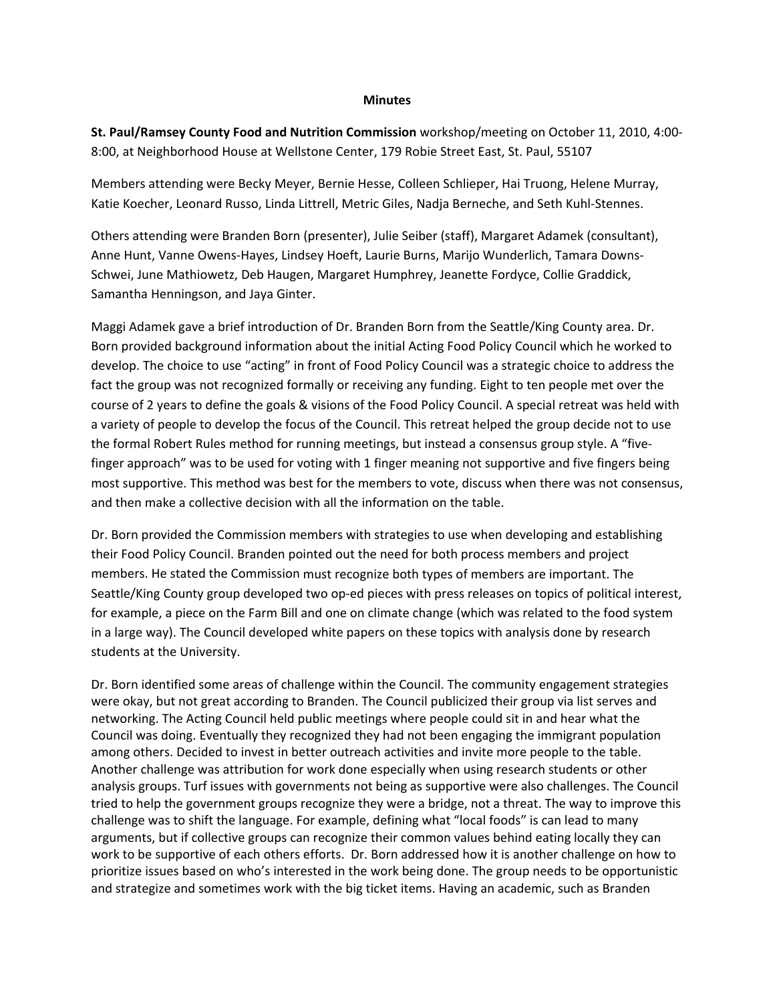### **Minutes**

**St. Paul/Ramsey County Food and Nutrition Commission** workshop/meeting on October 11, 2010, 4:00‐ 8:00, at Neighborhood House at Wellstone Center, 179 Robie Street East, St. Paul, 55107

Members attending were Becky Meyer, Bernie Hesse, Colleen Schlieper, Hai Truong, Helene Murray, Katie Koecher, Leonard Russo, Linda Littrell, Metric Giles, Nadja Berneche, and Seth Kuhl‐Stennes.

Others attending were Branden Born (presenter), Julie Seiber (staff), Margaret Adamek (consultant), Anne Hunt, Vanne Owens‐Hayes, Lindsey Hoeft, Laurie Burns, Marijo Wunderlich, Tamara Downs‐ Schwei, June Mathiowetz, Deb Haugen, Margaret Humphrey, Jeanette Fordyce, Collie Graddick, Samantha Henningson, and Jaya Ginter.

Maggi Adamek gave a brief introduction of Dr. Branden Born from the Seattle/King County area. Dr. Born provided background information about the initial Acting Food Policy Council which he worked to develop. The choice to use "acting" in front of Food Policy Council was a strategic choice to address the fact the group was not recognized formally or receiving any funding. Eight to ten people met over the course of 2 years to define the goals & visions of the Food Policy Council. A special retreat was held with a variety of people to develop the focus of the Council. This retreat helped the group decide not to use the formal Robert Rules method for running meetings, but instead a consensus group style. A "fivefinger approach" was to be used for voting with 1 finger meaning not supportive and five fingers being most supportive. This method was best for the members to vote, discuss when there was not consensus, and then make a collective decision with all the information on the table.

Dr. Born provided the Commission members with strategies to use when developing and establishing their Food Policy Council. Branden pointed out the need for both process members and project members. He stated the Commission must recognize both types of members are important. The Seattle/King County group developed two op-ed pieces with press releases on topics of political interest, for example, a piece on the Farm Bill and one on climate change (which was related to the food system in a large way). The Council developed white papers on these topics with analysis done by research students at the University.

Dr. Born identified some areas of challenge within the Council. The community engagement strategies were okay, but not great according to Branden. The Council publicized their group via list serves and networking. The Acting Council held public meetings where people could sit in and hear what the Council was doing. Eventually they recognized they had not been engaging the immigrant population among others. Decided to invest in better outreach activities and invite more people to the table. Another challenge was attribution for work done especially when using research students or other analysis groups. Turf issues with governments not being as supportive were also challenges. The Council tried to help the government groups recognize they were a bridge, not a threat. The way to improve this challenge was to shift the language. For example, defining what "local foods" is can lead to many arguments, but if collective groups can recognize their common values behind eating locally they can work to be supportive of each others efforts. Dr. Born addressed how it is another challenge on how to prioritize issues based on who's interested in the work being done. The group needs to be opportunistic and strategize and sometimes work with the big ticket items. Having an academic, such as Branden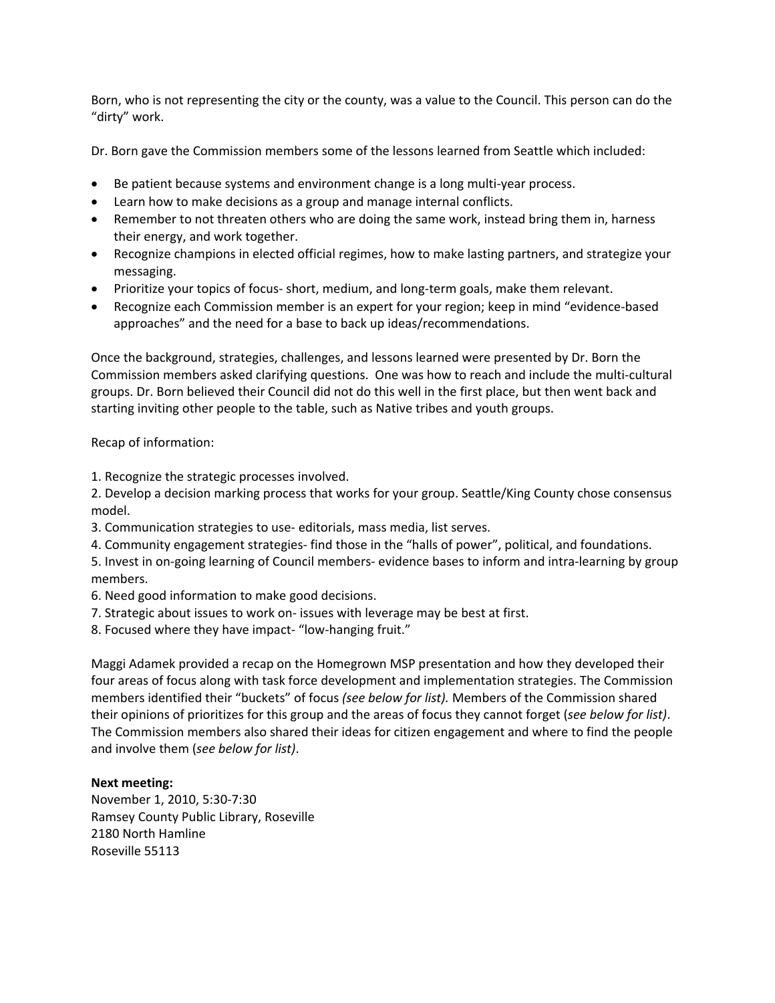Born, who is not representing the city or the county, was a value to the Council. This person can do the "dirty" work.

Dr. Born gave the Commission members some of the lessons learned from Seattle which included:

- Be patient because systems and environment change is a long multi-year process.
- Learn how to make decisions as a group and manage internal conflicts.
- Remember to not threaten others who are doing the same work, instead bring them in, harness their energy, and work together.
- Recognize champions in elected official regimes, how to make lasting partners, and strategize your messaging.
- Prioritize your topics of focus- short, medium, and long-term goals, make them relevant.
- Recognize each Commission member is an expert for your region; keep in mind "evidence-based approaches" and the need for a base to back up ideas/recommendations.

Once the background, strategies, challenges, and lessons learned were presented by Dr. Born the Commission members asked clarifying questions. One was how to reach and include the multi‐cultural groups. Dr. Born believed their Council did not do this well in the first place, but then went back and starting inviting other people to the table, such as Native tribes and youth groups.

# Recap of information:

1. Recognize the strategic processes involved.

2. Develop a decision marking process that works for your group. Seattle/King County chose consensus model.

- 3. Communication strategies to use‐ editorials, mass media, list serves.
- 4. Community engagement strategies‐ find those in the "halls of power", political, and foundations.

5. Invest in on-going learning of Council members- evidence bases to inform and intra-learning by group members.

- 6. Need good information to make good decisions.
- 7. Strategic about issues to work on‐ issues with leverage may be best at first.
- 8. Focused where they have impact- "low-hanging fruit."

Maggi Adamek provided a recap on the Homegrown MSP presentation and how they developed their four areas of focus along with task force development and implementation strategies. The Commission members identified their "buckets" of focus *(see below for list).* Members of the Commission shared their opinions of prioritizes for this group and the areas of focus they cannot forget (*see below for list)*. The Commission members also shared their ideas for citizen engagement and where to find the people and involve them (*see below for list)*.

# **Next meeting:**

November 1, 2010, 5:30‐7:30 Ramsey County Public Library, Roseville 2180 North Hamline Roseville 55113